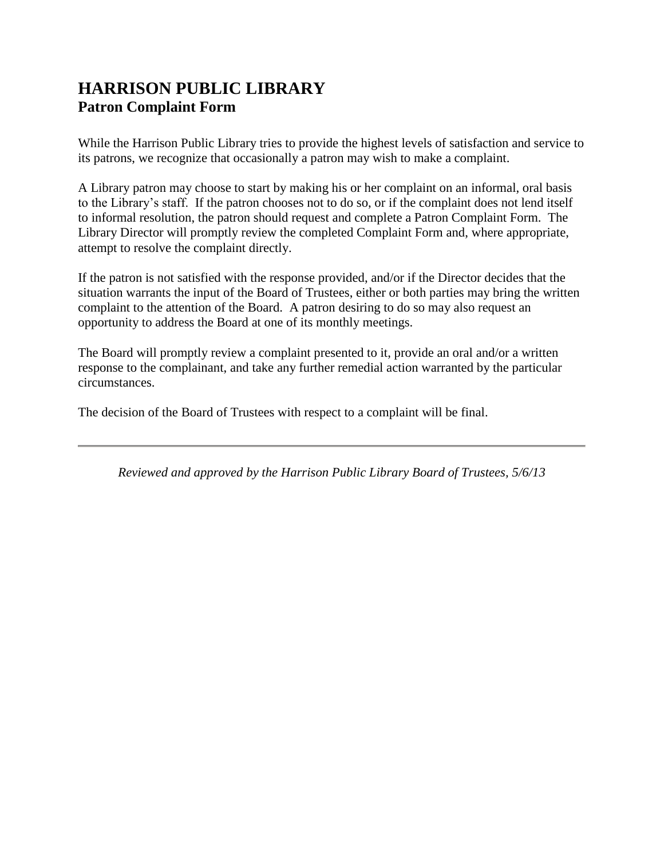## **HARRISON PUBLIC LIBRARY Patron Complaint Form**

While the Harrison Public Library tries to provide the highest levels of satisfaction and service to its patrons, we recognize that occasionally a patron may wish to make a complaint.

A Library patron may choose to start by making his or her complaint on an informal, oral basis to the Library's staff. If the patron chooses not to do so, or if the complaint does not lend itself to informal resolution, the patron should request and complete a Patron Complaint Form. The Library Director will promptly review the completed Complaint Form and, where appropriate, attempt to resolve the complaint directly.

If the patron is not satisfied with the response provided, and/or if the Director decides that the situation warrants the input of the Board of Trustees, either or both parties may bring the written complaint to the attention of the Board. A patron desiring to do so may also request an opportunity to address the Board at one of its monthly meetings.

The Board will promptly review a complaint presented to it, provide an oral and/or a written response to the complainant, and take any further remedial action warranted by the particular circumstances.

The decision of the Board of Trustees with respect to a complaint will be final.

*Reviewed and approved by the Harrison Public Library Board of Trustees, 5/6/13*